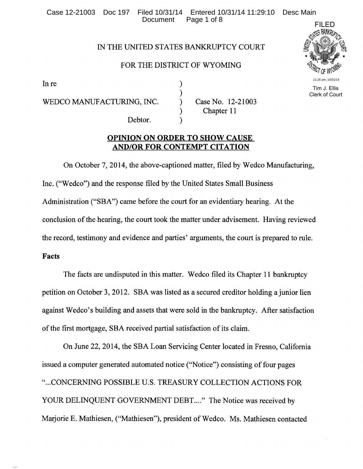Case 12-21003 Doc 197 Filed 10/31/14 Entered 10/31/14 11:29:10 Desc Main Page 1 of 8

### IN THE UNITED STATES BANKRUPTCY COURT

### FOR THE DISTRICT OF WYOMING

) ) ) ) )

In re

WEDCO MANUFACTURING, INC.

Debtor.

Case No. 12-21003 Chapter 11

## **OPINION ON ORDER TO SHOW CAUSE AND/OR FOR CONTEMPT CITATION**

On October 7, 2014, the above-captioned matter, filed by Wedco Manufacturing, Inc. ("Wedco") and the response filed by the United States Small Business Administration ("SBA") came before the court for an evidentiary hearing. At the conclusion of the hearing, the court took the matter under advisement. Having reviewed the record, testimony and evidence and parties' arguments, the court is prepared to rule.

## **Facts**

The facts are undisputed in this matter. Wedco filed its Chapter 11 bankruptcy petition on October 3, 2012. SBA was listed as a secured creditor holding a junior lien against Wedco's building and assets that were sold in the bankruptcy. After satisfaction of the first mortgage, SBA received partial satisfaction of its claim.

On June 22, 2014, the SBA Loan Servicing Center located in Fresno, California issued a computer generated automated notice ("Notice") consisting of four pages " ... CONCERNING POSSIBLE U.S. TREASURY COLLECTION ACTIONS FOR YOUR DELINQUENT GOVERNMENT DEBT...." The Notice was received by Marjorie E. Mathiesen, ("Mathiesen"), president of Wedco. Ms. Mathiesen contacted



 Tim J. Ellis Clerk of Court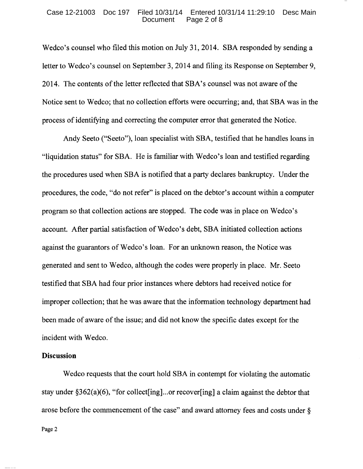#### Case 12-21003 Doc 197 Filed 10/31/14 Entered 10/31/14 11:29:10 Desc Main Page 2 of 8

Wedco's counsel who filed this motion on July 31, 2014. SBA responded by sending a letter to Wedco's counsel on September 3, 2014 and filing its Response on September 9, 2014. The contents of the letter reflected that SBA's counsel was not aware of the Notice sent to Wedco; that no collection efforts were occurring; and, that SBA was in the process of identifying and correcting the computer error that generated the Notice.

Andy Seeto ("Seeto"), loan specialist with SBA, testified that he handles loans in "liquidation status" for SBA. He is familiar with Wedco's loan and testified regarding the procedures used when SBA is notified that a party declares bankruptcy. Under the procedures, the code, "do not refer" is placed on the debtor's account within a computer program so that collection actions are stopped. The code was in place on Wedco's account. After partial satisfaction of Wedco's debt, SBA initiated collection actions against the guarantors of Wedco's loan. For an unknown reason, the Notice was generated and sent to Wedco, although the codes were properly in place. Mr. Seeto testified that SBA had four prior instances where debtors had received notice for improper collection; that he was aware that the information technology department had been made of aware of the issue; and did not know the specific dates except for the incident with Wedco.

#### **Discussion**

Wedco requests that the court hold SBA in contempt for violating the automatic stay under  $\S362(a)(6)$ , "for collect [ing]...or recover [ing] a claim against the debtor that arose before the commencement of the case" and award attorney fees and costs under §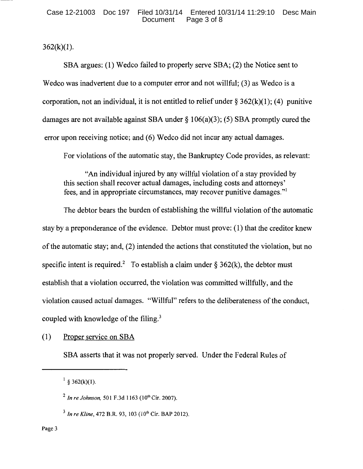$362(k)(1)$ .

SBA argues: (1) Wedco failed to properly serve SBA; (2) the Notice sent to Wedco was inadvertent due to a computer error and not willful; (3) as Wedco is a corporation, not an individual, it is not entitled to relief under  $\S 362(k)(1)$ ; (4) punitive damages are not available against SBA under  $\S$  106(a)(3); (5) SBA promptly cured the error upon receiving notice; and (6) Wedco did not incur any actual damages.

For violations of the automatic stay, the Bankruptcy Code provides, as relevant:

"An individual injured by any willful violation of a stay provided by this section shall recover actual damages, including costs and attorneys' fees, and in appropriate circumstances, may recover punitive damages."<sup>1</sup>

The debtor bears the burden of establishing the willful violation of the automatic stay by a preponderance of the evidence. Debtor must prove: (1) that the creditor knew of the automatic stay; and, (2) intended the actions that constituted the violation, but no specific intent is required.<sup>2</sup> To establish a claim under § 362(k), the debtor must establish that a violation occurred, the violation was committed willfully, and the violation caused actual damages. "Willful" refers to the deliberateness of the conduct, coupled with knowledge of the filing.<sup>3</sup>

(1) Proper service on SBA

SBA asserts that it was not properly served. Under the Federal Rules of

 $1 \text{ } 8 \text{ } 362(k)(1)$ .

<sup>&</sup>lt;sup>2</sup> In re Johnson, 501 F.3d 1163 (10<sup>th</sup> Cir. 2007).

<sup>&</sup>lt;sup>3</sup> In re Kline, 472 B.R. 93, 103 (10<sup>th</sup> Cir. BAP 2012).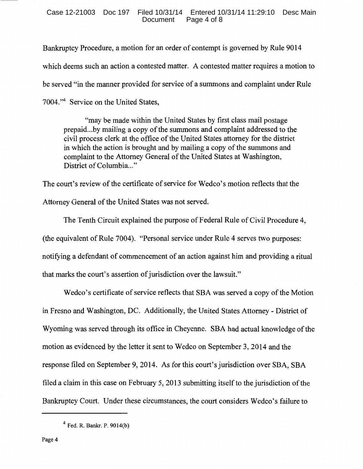Bankruptcy Procedure, a motion for an order of contempt is governed by Rule 9014 which deems such an action a contested matter. A contested matter requires a motion to be served "in the manner provided for service of a summons and complaint under Rule 7004."4 Service on the United States,

"may be made within the United States by first class mail postage prepaid ... by mailing a copy of the summons and complaint addressed to the civil process clerk at the office of the United States attorney for the district in which the action is brought and by mailing a copy of the summons and complaint to the Attorney General of the United States at Washington, District of Columbia..."

The court's review of the certificate of service for Wedco's motion reflects that the Attorney General of the United States was not served.

The Tenth Circuit explained the purpose of Federal Rule of Civil Procedure 4, (the equivalent of Rule 7004). "Personal service under Rule 4 serves two purposes: notifying a defendant of commencement of an action against him and providing a ritual that marks the court's assertion of jurisdiction over the lawsuit."

Wedco's certificate of service reflects that SBA was served a copy of the Motion in Fresno and Washington, DC. Additionally, the United States Attorney- District of Wyoming was served through its office in Cheyenne. SBA had actual knowledge of the motion as evidenced by the letter it sent to Wedco on September 3, 2014 and the response filed on September 9, 2014. As for this court's jurisdiction over SBA, SBA filed a claim in this case on February 5, 2013 submitting itself to the jurisdiction of the Bankruptcy Court. Under these circumstances, the court considers Wedco's failure to

<sup>4</sup> Fed. R. Bankr. P. 9014(b)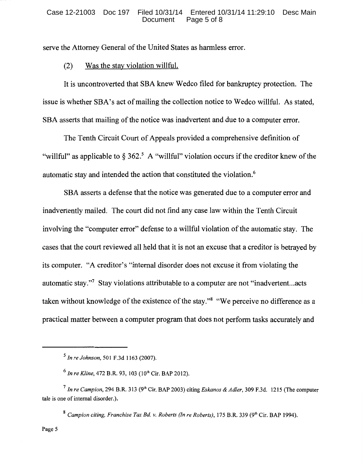serve the Attorney General of the United States as harmless error.

### (2) Was the stay violation willful.

It is uncontroverted that SBA knew Wedco filed for bankruptcy protection. The issue is whether SBA's act of mailing the collection notice to Wedco willful. As stated, SBA asserts that mailing of the notice was inadvertent and due to a computer error.

The Tenth Circuit Court of Appeals provided a comprehensive definition of "willful" as applicable to  $\S 362$ .<sup>5</sup> A "willful" violation occurs if the creditor knew of the automatic stay and intended the action that constituted the violation.6

SBA asserts a defense that the notice was generated due to a computer error and inadvertently mailed. The court did not find any case law within the Tenth Circuit involving the "computer error" defense to a willful violation of the automatic stay. The cases that the court reviewed all held that it is not an excuse that a creditor is betrayed by its computer. "A creditor's "internal disorder does not excuse it from violating the automatic stay."7 Stay violations attributable to a computer are not "inadvertent...acts taken without knowledge of the existence of the stay."<sup>8</sup> "We perceive no difference as a practical matter between a computer program that does not perform tasks accurately and

<sup>5</sup>*In re Johnson,* 501 F.3d 1163 (2007).

<sup>6</sup>*In re Kline,* 472 B.R. 93, 103 (lOth Cir. BAP 2012).

<sup>7</sup>*In re Campion,* 294 B.R. 313 (9th Cir. BAP 2003) citing *Eskanos* & *Adler,* 309 F.3d. 1215 (The computer tale is one of internal disorder.).

<sup>&</sup>lt;sup>8</sup> Campion citing, Franchise Tax Bd. v. Roberts (In re Roberts), 175 B.R. 339 (9<sup>th</sup> Cir. BAP 1994).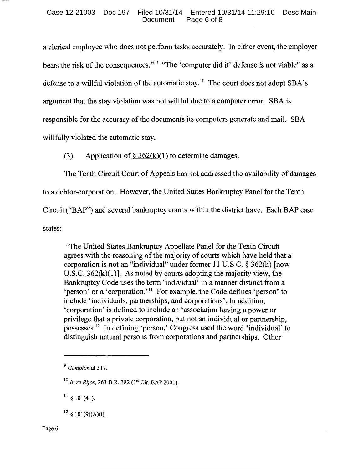a clerical employee who does not perform tasks accurately. In either event, the employer bears the risk of the consequences." 9 "The 'computer did it' defense is not viable" as a defense to a willful violation of the automatic stay.<sup>10</sup> The court does not adopt SBA's argument that the stay violation was not willful due to a computer error. SBA is responsible for the accuracy of the documents its computers generate and mail. SBA willfully violated the automatic stay.

# (3) Application of  $\S 362(k)(1)$  to determine damages.

The Tenth Circuit Court of Appeals has not addressed the availability of damages

to a debtor-corporation. However, the United States Bankruptcy Panel for the Tenth

Circuit ("BAP") and several bankruptcy courts within the district have. Each BAP case

states:

"The United States Bankruptcy Appellate Panel for the Tenth Circuit agrees with the reasoning of the majority of courts which have held that a corporation is not an "individual" under former 11 U.S.C. § 362(h) [now U.S.C.  $362(k)(1)$ ]. As noted by courts adopting the majority view, the Bankruptcy Code uses the term 'individual' in a manner distinct from a 'person' or a 'corporation.'<sup>11</sup> For example, the Code defines 'person' to include 'individuals, partnerships, and corporations'. In addition, 'corporation' is defined to include an 'association having a power or privilege that a private corporation, but not an individual or partnership, possesses. 12 In defining 'person,' Congress used the word 'individual' to distinguish natural persons from corporations and partnerships. Other

 $^{11}$  § 101(41).

 $12 \text{ }$  § 101(9)(A)(i).

<sup>9</sup>*Campion* at 317.

<sup>&</sup>lt;sup>10</sup> In re Rijos, 263 B.R. 382 (1<sup>st</sup> Cir. BAP 2001).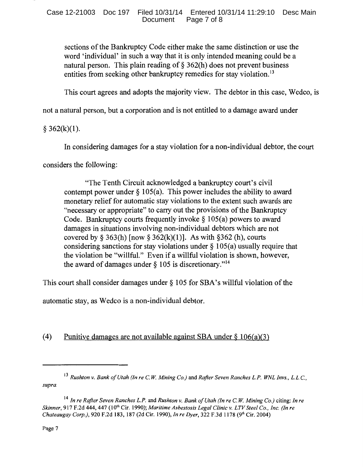sections of the Bankruptcy Code either make the same distinction or use the word 'individual' in such a way that it is only intended meaning could be a natural person. This plain reading of  $\S$  362(h) does not prevent business entities from seeking other bankruptcy remedies for stay violation.<sup>13</sup>

This court agrees and adopts the majority view. The debtor in this case, Wedco, is

not a natural person, but a corporation and is not entitled to a damage award under

# $§ 362(k)(1).$

In considering damages for a stay violation for a non-individual debtor, the court

considers the following:

"The Tenth Circuit acknowledged a bankruptcy court's civil contempt power under  $\S 105(a)$ . This power includes the ability to award monetary relief for automatic stay violations to the extent such awards are "necessary or appropriate" to carry out the provisions of the Bankruptcy Code. Bankruptcy courts frequently invoke§ 105(a) powers to award damages in situations involving non-individual debtors which are not covered by § 363(h) [now § 362(k)(1)]. As with § 362 (h), courts considering sanctions for stay violations under  $\S 105(a)$  usually require that the violation be "willful." Even if a willful violation is shown, however, the award of damages under  $\S 105$  is discretionary."<sup>14</sup>

This court shall consider damages under§ 105 for SBA's willful violation of the

automatic stay, as Wedco is a non-individual debtor.

# (4) Punitive damages are not available against SBA under  $\S$  106(a)(3)

<sup>13</sup>*Rushton v. Bank of Utah (In re* C. *W. Mining Co.)* and *Rafter Seven Ranches L.P. WNL Invs., L.L.C., supra.* 

<sup>14</sup>*In re Rafter Seven Ranches L.P.* and *Rushton v. Bank of Utah (In re* C. *W. Mining Co.)* citing: *In re Skinner, 917 F.2d 444, 447 (10<sup>th</sup> Cir. 1990); Maritime Asbestosis Legal Clinic v. LTV Steel Co., Inc. (In re Chateaugay Corp.),* 920 F.2d 183, 187 (2d Cir. 1990), *In re Dyer,* 322 F.3d 1178 (9th Cir. 2004)